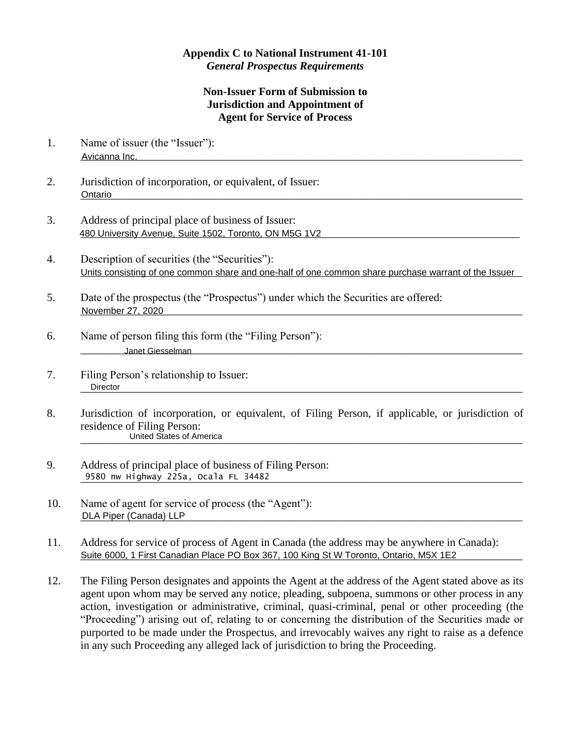## **Appendix C to National Instrument 41-101** *General Prospectus Requirements*

## **Non-Issuer Form of Submission to Jurisdiction and Appointment of Agent for Service of Process**

- 1. Name of issuer (the "Issuer"): \_\_\_\_\_\_\_\_\_\_\_\_\_\_\_\_\_\_\_\_\_\_\_\_\_\_\_\_\_\_\_\_\_\_\_\_\_\_\_\_\_\_\_\_\_\_\_\_\_\_\_\_\_\_\_\_\_\_\_\_\_\_\_\_\_\_\_\_\_\_\_\_\_\_\_\_\_\_\_ Avicanna Inc.
- 2. Jurisdiction of incorporation, or equivalent, of Issuer: \_\_\_\_\_\_\_\_\_\_\_\_\_\_\_\_\_\_\_\_\_\_\_\_\_\_\_\_\_\_\_\_\_\_\_\_\_\_\_\_\_\_\_\_\_\_\_\_\_\_\_\_\_\_\_\_\_\_\_\_\_\_\_\_\_\_\_\_\_\_\_\_\_\_\_\_\_\_\_ Ontario
- 3. Address of principal place of business of Issuer: 480 University Avenue, Suite 1502, Toronto, ON M5G 1V2 **Contained and Contained Avenue Contained and Contained A**
- 4. Description of securities (the "Securities"): Units consisting of one common share and one-half of one common share purchase warrant of the Issuer
- 5. Date of the prospectus (the "Prospectus") under which the Securities are offered: \_\_\_\_\_\_\_\_\_\_\_\_\_\_\_\_\_\_\_\_\_\_\_\_\_\_\_\_\_\_\_\_\_\_\_\_\_\_\_\_\_\_\_\_\_\_\_\_\_\_\_\_\_\_\_\_\_\_\_\_\_\_\_\_\_\_\_\_\_\_\_\_\_\_\_\_\_\_\_ November 27, 2020
- 6. Name of person filing this form (the "Filing Person"): \_\_\_\_\_\_\_\_\_\_\_\_\_\_\_\_\_\_\_\_\_\_\_\_\_\_\_\_\_\_\_\_\_\_\_\_\_\_\_\_\_\_\_\_\_\_\_\_\_\_\_\_\_\_\_\_\_\_\_\_\_\_\_\_\_\_\_\_\_\_\_\_\_\_\_\_\_\_\_ Janet Giesselman
- 7. Filing Person's relationship to Issuer: \_\_\_\_\_\_\_\_\_\_\_\_\_\_\_\_\_\_\_\_\_\_\_\_\_\_\_\_\_\_\_\_\_\_\_\_\_\_\_\_\_\_\_\_\_\_\_\_\_\_\_\_\_\_\_\_\_\_\_\_\_\_\_\_\_\_\_\_\_\_\_\_\_\_\_\_\_\_\_ Director
- 8. Jurisdiction of incorporation, or equivalent, of Filing Person, if applicable, or jurisdiction of residence of Filing Person: \_\_\_\_\_\_\_\_\_\_\_\_\_\_\_\_\_\_\_\_\_\_\_\_\_\_\_\_\_\_\_\_\_\_\_\_\_\_\_\_\_\_\_\_\_\_\_\_\_\_\_\_\_\_\_\_\_\_\_\_\_\_\_\_\_\_\_\_\_\_\_\_\_\_\_\_\_\_\_ United States of America
- 9. Address of principal place of business of Filing Person: \_\_\_\_\_\_\_\_\_\_\_\_\_\_\_\_\_\_\_\_\_\_\_\_\_\_\_\_\_\_\_\_\_\_\_\_\_\_\_\_\_\_\_\_\_\_\_\_\_\_\_\_\_\_\_\_\_\_\_\_\_\_\_\_\_\_\_\_\_\_\_\_\_\_\_\_\_\_\_ 9580 nw Highway 225a, Ocala FL 34482
- 10. Name of agent for service of process (the "Agent"): \_\_\_\_\_\_\_\_\_\_\_\_\_\_\_\_\_\_\_\_\_\_\_\_\_\_\_\_\_\_\_\_\_\_\_\_\_\_\_\_\_\_\_\_\_\_\_\_\_\_\_\_\_\_\_\_\_\_\_\_\_\_\_\_\_\_\_\_\_\_\_\_\_\_\_\_\_\_\_ DLA Piper (Canada) LLP
- 11. Address for service of process of Agent in Canada (the address may be anywhere in Canada): Suite 6000, 1 First Canadian Place PO Box 367, 100 King St W Toronto, Ontario, M5X 1E2
- 12. The Filing Person designates and appoints the Agent at the address of the Agent stated above as its agent upon whom may be served any notice, pleading, subpoena, summons or other process in any action, investigation or administrative, criminal, quasi-criminal, penal or other proceeding (the "Proceeding") arising out of, relating to or concerning the distribution of the Securities made or purported to be made under the Prospectus, and irrevocably waives any right to raise as a defence in any such Proceeding any alleged lack of jurisdiction to bring the Proceeding.